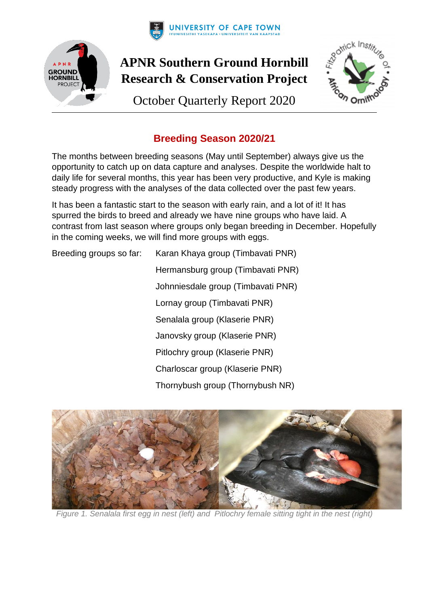



# **APNR Southern Ground Hornbill Research & Conservation Project**

October Quarterly Report 2020



## **Breeding Season 2020/21**

The months between breeding seasons (May until September) always give us the opportunity to catch up on data capture and analyses. Despite the worldwide halt to daily life for several months, this year has been very productive, and Kyle is making steady progress with the analyses of the data collected over the past few years.

It has been a fantastic start to the season with early rain, and a lot of it! It has spurred the birds to breed and already we have nine groups who have laid. A contrast from last season where groups only began breeding in December. Hopefully in the coming weeks, we will find more groups with eggs.

Breeding groups so far: Karan Khaya group (Timbavati PNR) Hermansburg group (Timbavati PNR) Johnniesdale group (Timbavati PNR) Lornay group (Timbavati PNR) Senalala group (Klaserie PNR) Janovsky group (Klaserie PNR) Pitlochry group (Klaserie PNR) Charloscar group (Klaserie PNR) Thornybush group (Thornybush NR)



*Figure 1. Senalala first egg in nest (left) and Pitlochry female sitting tight in the nest (right)*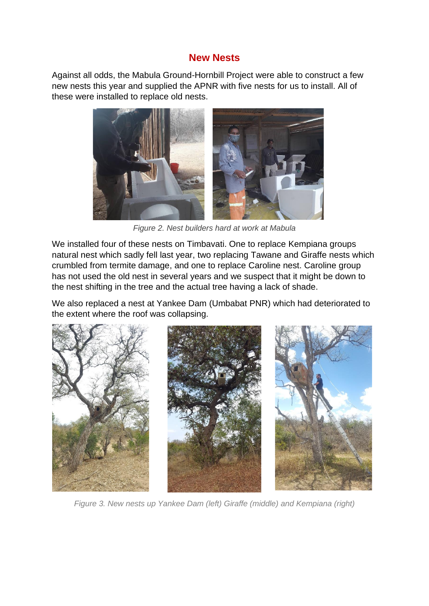### **New Nests**

Against all odds, the Mabula Ground-Hornbill Project were able to construct a few new nests this year and supplied the APNR with five nests for us to install. All of these were installed to replace old nests.



*Figure 2. Nest builders hard at work at Mabula*

We installed four of these nests on Timbavati. One to replace Kempiana groups natural nest which sadly fell last year, two replacing Tawane and Giraffe nests which crumbled from termite damage, and one to replace Caroline nest. Caroline group has not used the old nest in several years and we suspect that it might be down to the nest shifting in the tree and the actual tree having a lack of shade.

We also replaced a nest at Yankee Dam (Umbabat PNR) which had deteriorated to the extent where the roof was collapsing.



*Figure 3. New nests up Yankee Dam (left) Giraffe (middle) and Kempiana (right)*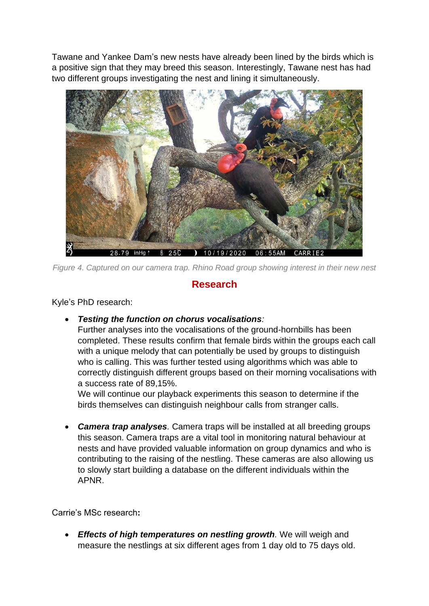Tawane and Yankee Dam's new nests have already been lined by the birds which is a positive sign that they may breed this season. Interestingly, Tawane nest has had two different groups investigating the nest and lining it simultaneously.



*Figure 4. Captured on our camera trap. Rhino Road group showing interest in their new nest*

## **Research**

Kyle's PhD research:

• *Testing the function on chorus vocalisations:*

Further analyses into the vocalisations of the ground-hornbills has been completed. These results confirm that female birds within the groups each call with a unique melody that can potentially be used by groups to distinguish who is calling. This was further tested using algorithms which was able to correctly distinguish different groups based on their morning vocalisations with a success rate of 89,15%.

We will continue our playback experiments this season to determine if the birds themselves can distinguish neighbour calls from stranger calls.

• *Camera trap analyses.* Camera traps will be installed at all breeding groups this season. Camera traps are a vital tool in monitoring natural behaviour at nests and have provided valuable information on group dynamics and who is contributing to the raising of the nestling. These cameras are also allowing us to slowly start building a database on the different individuals within the APNR.

Carrie's MSc research**:**

• *Effects of high temperatures on nestling growth.* We will weigh and measure the nestlings at six different ages from 1 day old to 75 days old.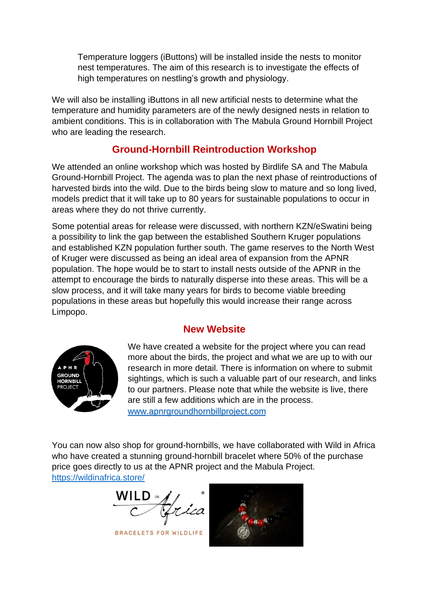Temperature loggers (iButtons) will be installed inside the nests to monitor nest temperatures. The aim of this research is to investigate the effects of high temperatures on nestling's growth and physiology.

We will also be installing iButtons in all new artificial nests to determine what the temperature and humidity parameters are of the newly designed nests in relation to ambient conditions. This is in collaboration with The Mabula Ground Hornbill Project who are leading the research.

## **Ground-Hornbill Reintroduction Workshop**

We attended an online workshop which was hosted by Birdlife SA and The Mabula Ground-Hornbill Project. The agenda was to plan the next phase of reintroductions of harvested birds into the wild. Due to the birds being slow to mature and so long lived, models predict that it will take up to 80 years for sustainable populations to occur in areas where they do not thrive currently.

Some potential areas for release were discussed, with northern KZN/eSwatini being a possibility to link the gap between the established Southern Kruger populations and established KZN population further south. The game reserves to the North West of Kruger were discussed as being an ideal area of expansion from the APNR population. The hope would be to start to install nests outside of the APNR in the attempt to encourage the birds to naturally disperse into these areas. This will be a slow process, and it will take many years for birds to become viable breeding populations in these areas but hopefully this would increase their range across Limpopo.

#### **New Website**



We have created a website for the project where you can read more about the birds, the project and what we are up to with our research in more detail. There is information on where to submit sightings, which is such a valuable part of our research, and links to our partners. Please note that while the website is live, there are still a few additions which are in the process. www.apnrgroundhornbillproject.com

You can now also shop for ground-hornbills, we have collaborated with Wild in Africa who have created a stunning ground-hornbill bracelet where 50% of the purchase price goes directly to us at the APNR project and the Mabula Project. https://wildinafrica.store/

**BRACELETS FOR WILDLIFE**